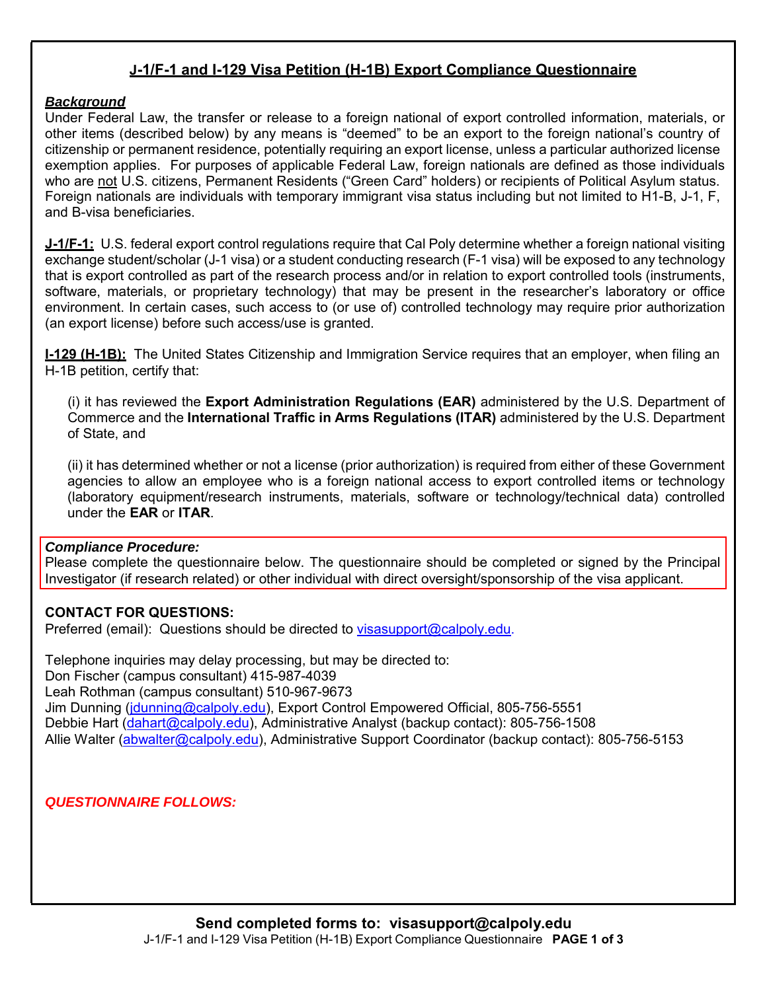## **J-1/F-1 and I-129 Visa Petition (H-1B) Export Compliance Questionnaire**

#### *Background*

Under Federal Law, the transfer or release to a foreign national of export controlled information, materials, or other items (described below) by any means is "deemed" to be an export to the foreign national's country of citizenship or permanent residence, potentially requiring an export license, unless a particular authorized license exemption applies. For purposes of applicable Federal Law, foreign nationals are defined as those individuals who are not U.S. citizens, Permanent Residents ("Green Card" holders) or recipients of Political Asylum status. Foreign nationals are individuals with temporary immigrant visa status including but not limited to H1-B, J-1, F, and B-visa beneficiaries.

**J-1/F-1:** U.S. federal export control regulations require that Cal Poly determine whether a foreign national visiting exchange student/scholar (J-1 visa) or a student conducting research (F-1 visa) will be exposed to any technology that is export controlled as part of the research process and/or in relation to export controlled tools (instruments, software, materials, or proprietary technology) that may be present in the researcher's laboratory or office environment. In certain cases, such access to (or use of) controlled technology may require prior authorization (an export license) before such access/use is granted.

**I-129 (H-1B):** The United States Citizenship and Immigration Service requires that an employer, when filing an H-1B petition, certify that:

(i) it has reviewed the **Export Administration Regulations (EAR)** administered by the U.S. Department of Commerce and the **International Traffic in Arms Regulations (ITAR)** administered by the U.S. Department of State, and

(ii) it has determined whether or not a license (prior authorization) is required from either of these Government agencies to allow an employee who is a foreign national access to export controlled items or technology (laboratory equipment/research instruments, materials, software or technology/technical data) controlled under the **EAR** or **ITAR**.

#### *Compliance Procedure:*

Please complete the questionnaire below. The questionnaire should be completed or signed by the Principal Investigator (if research related) or other individual with direct oversight/sponsorship of the visa applicant.

### **CONTACT FOR QUESTIONS:**

Preferred (email): Questions should be directed to visasupport@calpoly.edu.

Telephone inquiries may delay processing, but may be directed to: Don Fischer (campus consultant) 415-987-4039 Leah Rothman (campus consultant) 510-967-9673 Jim Dunning (jdunning@calpoly.edu), Export Control Empowered Official, 805-756-5551 Debbie Hart (dahart@calpoly.edu), Administrative Analyst (backup contact): 805-756-1508 Allie Walter (abwalter@calpoly.edu), Administrative Support Coordinator (backup contact): 805-756-5153

## *QUESTIONNAIRE FOLLOWS:*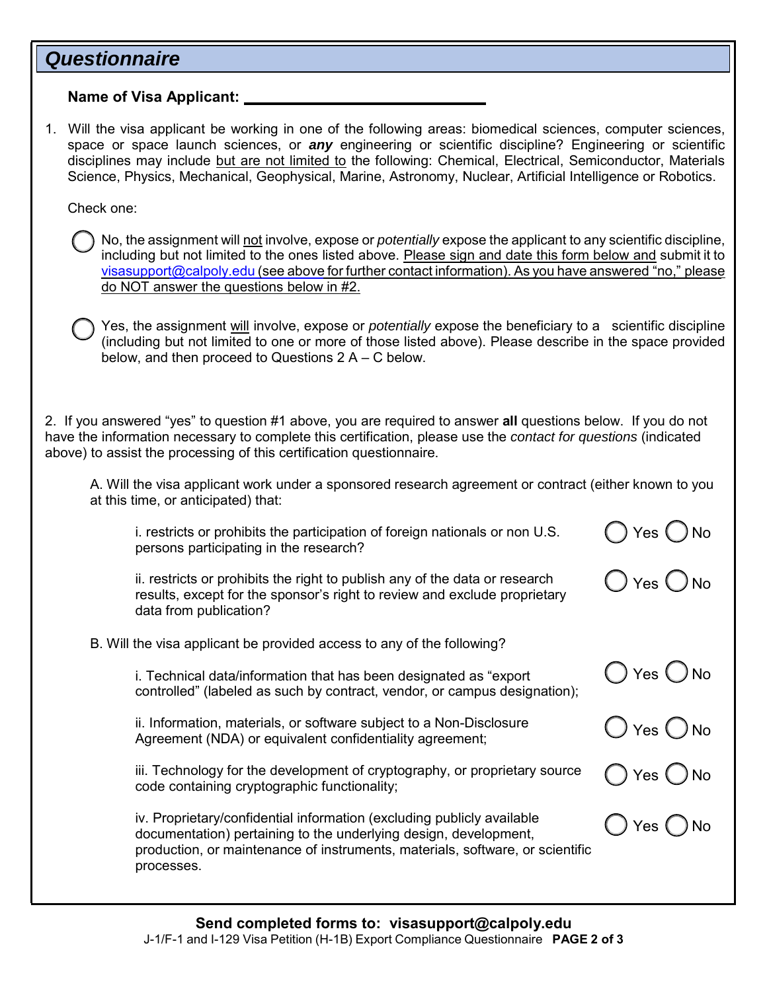# *Questionnaire*

**Name of Visa Applicant:** 

1. Will the visa applicant be working in one of the following areas: biomedical sciences, computer sciences, space or space launch sciences, or *any* engineering or scientific discipline? Engineering or scientific disciplines may include but are not limited to the following: Chemical, Electrical, Semiconductor, Materials Science, Physics, Mechanical, Geophysical, Marine, Astronomy, Nuclear, Artificial Intelligence or Robotics.

Check one:

No, the assignment will not involve, expose or *potentially* expose the applicant to any scientific discipline, including but not limited to the ones listed above. Please sign and date this form below and submit it to visasupport@calpoly.edu (see above for further contact information). As you have answered "no," please do NOT answer the questions below in #2.

Yes, the assignment will involve, expose or *potentially* expose the beneficiary to a scientific discipline (including but not limited to one or more of those listed above). Please describe in the space provided below, and then proceed to Questions 2 A – C below.

2. If you answered "yes" to question #1 above, you are required to answer **all** questions below. If you do not have the information necessary to complete this certification, please use the *contact for questions* (indicated above) to assist the processing of this certification questionnaire.

A. Will the visa applicant work under a sponsored research agreement or contract (either known to you at this time, or anticipated) that:

 $)$  Yes  $\bigcirc$  No

) Yes  $\bigcirc$  No

 $)$  Yes  $\bigcirc$  No

 $)$  Yes  $\bigcirc$  No

Yes ( ) No

) Yes  $\bigcap$  No

i. restricts or prohibits the participation of foreign nationals or non U.S. persons participating in the research?

ii. restricts or prohibits the right to publish any of the data or research results, except for the sponsor's right to review and exclude proprietary data from publication?

B. Will the visa applicant be provided access to any of the following?

i. Technical data/information that has been designated as "export controlled" (labeled as such by contract, vendor, or campus designation);

ii. Information, materials, or software subject to a Non-Disclosure Agreement (NDA) or equivalent confidentiality agreement;

iii. Technology for the development of cryptography, or proprietary source code containing cryptographic functionality;

iv. Proprietary/confidential information (excluding publicly available documentation) pertaining to the underlying design, development, production, or maintenance of instruments, materials, software, or scientific processes.